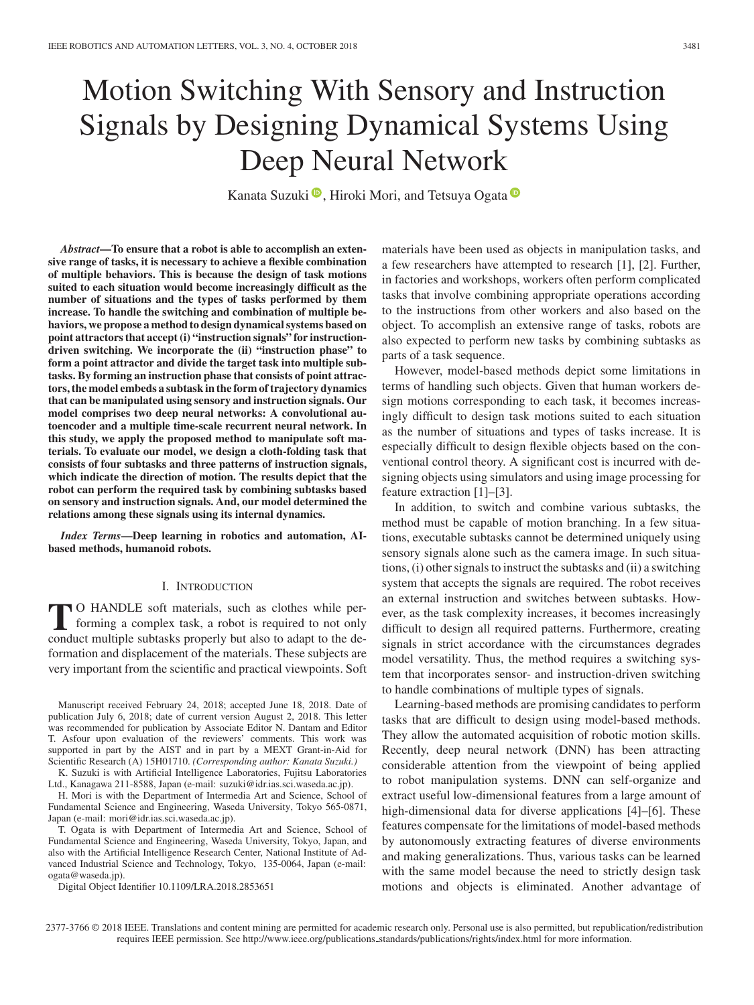# Motion Switching With Sensory and Instruction Signals by Designing Dynamical Systems Using Deep Neural Network

Kanata Suzuki<sup>.</sup>[,](https://orcid.org/0000-0001-7122-7649) Hiroki Mori, and Tetsuya Ogata<sup>.</sup>

*Abstract***—To ensure that a robot is able to accomplish an extensive range of tasks, it is necessary to achieve a flexible combination of multiple behaviors. This is because the design of task motions suited to each situation would become increasingly difficult as the number of situations and the types of tasks performed by them increase. To handle the switching and combination of multiple behaviors, we propose a method to design dynamical systems based on point attractors that accept (i) "instruction signals" for instructiondriven switching. We incorporate the (ii) "instruction phase" to form a point attractor and divide the target task into multiple subtasks. By forming an instruction phase that consists of point attractors, the model embeds a subtask in the form of trajectory dynamics that can be manipulated using sensory and instruction signals. Our model comprises two deep neural networks: A convolutional autoencoder and a multiple time-scale recurrent neural network. In this study, we apply the proposed method to manipulate soft materials. To evaluate our model, we design a cloth-folding task that consists of four subtasks and three patterns of instruction signals, which indicate the direction of motion. The results depict that the robot can perform the required task by combining subtasks based on sensory and instruction signals. And, our model determined the relations among these signals using its internal dynamics.**

*Index Terms***—Deep learning in robotics and automation, AIbased methods, humanoid robots.**

# I. INTRODUCTION

**T** O HANDLE soft materials, such as clothes while performing a complex task, a robot is required to not only conduct multiple subtasks properly but also to adapt to the deformation and displacement of the materials. These subjects are very important from the scientific and practical viewpoints. Soft

Manuscript received February 24, 2018; accepted June 18, 2018. Date of publication July 6, 2018; date of current version August 2, 2018. This letter was recommended for publication by Associate Editor N. Dantam and Editor T. Asfour upon evaluation of the reviewers' comments. This work was supported in part by the AIST and in part by a MEXT Grant-in-Aid for Scientific Research (A) 15H01710. *(Corresponding author: Kanata Suzuki.)*

K. Suzuki is with Artificial Intelligence Laboratories, Fujitsu Laboratories Ltd., Kanagawa 211-8588, Japan (e-mail: suzuki@idr.ias.sci.waseda.ac.jp).

H. Mori is with the Department of Intermedia Art and Science, School of Fundamental Science and Engineering, Waseda University, Tokyo 565-0871, Japan (e-mail: mori@idr.ias.sci.waseda.ac.jp).

T. Ogata is with Department of Intermedia Art and Science, School of Fundamental Science and Engineering, Waseda University, Tokyo, Japan, and also with the Artificial Intelligence Research Center, National Institute of Advanced Industrial Science and Technology, Tokyo, 135-0064, Japan (e-mail: [ogata@waseda.jp\)](mailto:ogata@waseda.jp).

Digital Object Identifier 10.1109/LRA.2018.2853651

materials have been used as objects in manipulation tasks, and a few researchers have attempted to research [1], [2]. Further, in factories and workshops, workers often perform complicated tasks that involve combining appropriate operations according to the instructions from other workers and also based on the object. To accomplish an extensive range of tasks, robots are also expected to perform new tasks by combining subtasks as parts of a task sequence.

However, model-based methods depict some limitations in terms of handling such objects. Given that human workers design motions corresponding to each task, it becomes increasingly difficult to design task motions suited to each situation as the number of situations and types of tasks increase. It is especially difficult to design flexible objects based on the conventional control theory. A significant cost is incurred with designing objects using simulators and using image processing for feature extraction [1]–[3].

In addition, to switch and combine various subtasks, the method must be capable of motion branching. In a few situations, executable subtasks cannot be determined uniquely using sensory signals alone such as the camera image. In such situations, (i) other signals to instruct the subtasks and (ii) a switching system that accepts the signals are required. The robot receives an external instruction and switches between subtasks. However, as the task complexity increases, it becomes increasingly difficult to design all required patterns. Furthermore, creating signals in strict accordance with the circumstances degrades model versatility. Thus, the method requires a switching system that incorporates sensor- and instruction-driven switching to handle combinations of multiple types of signals.

Learning-based methods are promising candidates to perform tasks that are difficult to design using model-based methods. They allow the automated acquisition of robotic motion skills. Recently, deep neural network (DNN) has been attracting considerable attention from the viewpoint of being applied to robot manipulation systems. DNN can self-organize and extract useful low-dimensional features from a large amount of high-dimensional data for diverse applications [4]–[6]. These features compensate for the limitations of model-based methods by autonomously extracting features of diverse environments and making generalizations. Thus, various tasks can be learned with the same model because the need to strictly design task motions and objects is eliminated. Another advantage of

2377-3766 © 2018 IEEE. Translations and content mining are permitted for academic research only. Personal use is also permitted, but republication/redistribution requires IEEE permission. See http://www.ieee.org/publications standards/publications/rights/index.html for more information.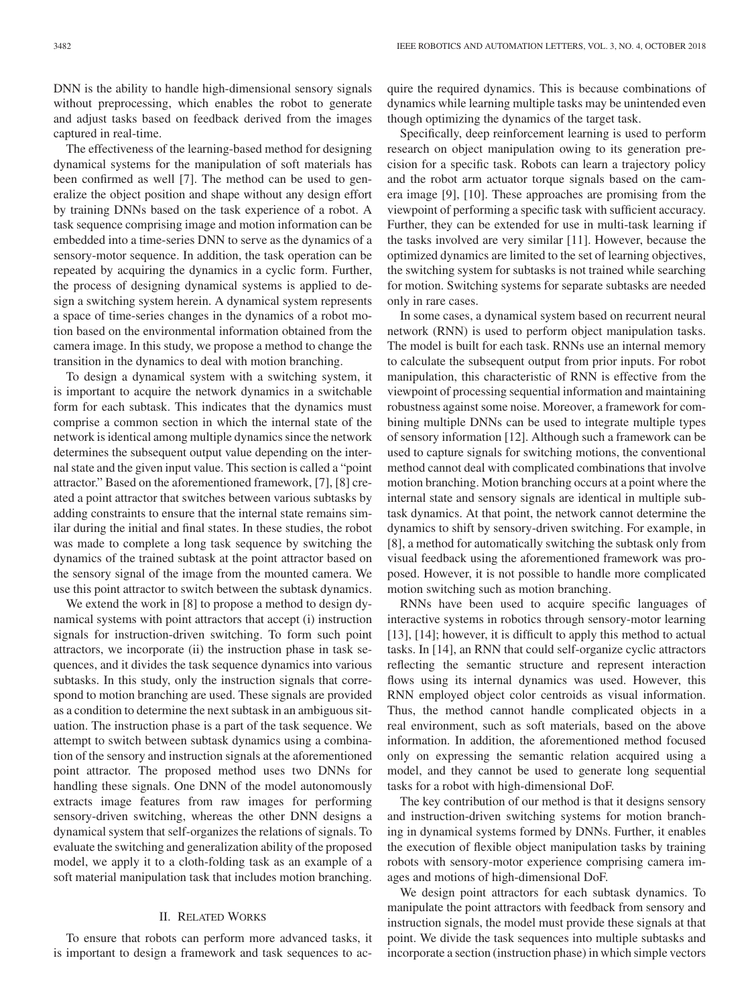DNN is the ability to handle high-dimensional sensory signals without preprocessing, which enables the robot to generate and adjust tasks based on feedback derived from the images captured in real-time.

The effectiveness of the learning-based method for designing dynamical systems for the manipulation of soft materials has been confirmed as well [7]. The method can be used to generalize the object position and shape without any design effort by training DNNs based on the task experience of a robot. A task sequence comprising image and motion information can be embedded into a time-series DNN to serve as the dynamics of a sensory-motor sequence. In addition, the task operation can be repeated by acquiring the dynamics in a cyclic form. Further, the process of designing dynamical systems is applied to design a switching system herein. A dynamical system represents a space of time-series changes in the dynamics of a robot motion based on the environmental information obtained from the camera image. In this study, we propose a method to change the transition in the dynamics to deal with motion branching.

To design a dynamical system with a switching system, it is important to acquire the network dynamics in a switchable form for each subtask. This indicates that the dynamics must comprise a common section in which the internal state of the network is identical among multiple dynamics since the network determines the subsequent output value depending on the internal state and the given input value. This section is called a "point attractor." Based on the aforementioned framework, [7], [8] created a point attractor that switches between various subtasks by adding constraints to ensure that the internal state remains similar during the initial and final states. In these studies, the robot was made to complete a long task sequence by switching the dynamics of the trained subtask at the point attractor based on the sensory signal of the image from the mounted camera. We use this point attractor to switch between the subtask dynamics.

We extend the work in [8] to propose a method to design dynamical systems with point attractors that accept (i) instruction signals for instruction-driven switching. To form such point attractors, we incorporate (ii) the instruction phase in task sequences, and it divides the task sequence dynamics into various subtasks. In this study, only the instruction signals that correspond to motion branching are used. These signals are provided as a condition to determine the next subtask in an ambiguous situation. The instruction phase is a part of the task sequence. We attempt to switch between subtask dynamics using a combination of the sensory and instruction signals at the aforementioned point attractor. The proposed method uses two DNNs for handling these signals. One DNN of the model autonomously extracts image features from raw images for performing sensory-driven switching, whereas the other DNN designs a dynamical system that self-organizes the relations of signals. To evaluate the switching and generalization ability of the proposed model, we apply it to a cloth-folding task as an example of a soft material manipulation task that includes motion branching.

# II. RELATED WORKS

To ensure that robots can perform more advanced tasks, it is important to design a framework and task sequences to acquire the required dynamics. This is because combinations of dynamics while learning multiple tasks may be unintended even though optimizing the dynamics of the target task.

Specifically, deep reinforcement learning is used to perform research on object manipulation owing to its generation precision for a specific task. Robots can learn a trajectory policy and the robot arm actuator torque signals based on the camera image [9], [10]. These approaches are promising from the viewpoint of performing a specific task with sufficient accuracy. Further, they can be extended for use in multi-task learning if the tasks involved are very similar [11]. However, because the optimized dynamics are limited to the set of learning objectives, the switching system for subtasks is not trained while searching for motion. Switching systems for separate subtasks are needed only in rare cases.

In some cases, a dynamical system based on recurrent neural network (RNN) is used to perform object manipulation tasks. The model is built for each task. RNNs use an internal memory to calculate the subsequent output from prior inputs. For robot manipulation, this characteristic of RNN is effective from the viewpoint of processing sequential information and maintaining robustness against some noise. Moreover, a framework for combining multiple DNNs can be used to integrate multiple types of sensory information [12]. Although such a framework can be used to capture signals for switching motions, the conventional method cannot deal with complicated combinations that involve motion branching. Motion branching occurs at a point where the internal state and sensory signals are identical in multiple subtask dynamics. At that point, the network cannot determine the dynamics to shift by sensory-driven switching. For example, in [8], a method for automatically switching the subtask only from visual feedback using the aforementioned framework was proposed. However, it is not possible to handle more complicated motion switching such as motion branching.

RNNs have been used to acquire specific languages of interactive systems in robotics through sensory-motor learning [13], [14]; however, it is difficult to apply this method to actual tasks. In [14], an RNN that could self-organize cyclic attractors reflecting the semantic structure and represent interaction flows using its internal dynamics was used. However, this RNN employed object color centroids as visual information. Thus, the method cannot handle complicated objects in a real environment, such as soft materials, based on the above information. In addition, the aforementioned method focused only on expressing the semantic relation acquired using a model, and they cannot be used to generate long sequential tasks for a robot with high-dimensional DoF.

The key contribution of our method is that it designs sensory and instruction-driven switching systems for motion branching in dynamical systems formed by DNNs. Further, it enables the execution of flexible object manipulation tasks by training robots with sensory-motor experience comprising camera images and motions of high-dimensional DoF.

We design point attractors for each subtask dynamics. To manipulate the point attractors with feedback from sensory and instruction signals, the model must provide these signals at that point. We divide the task sequences into multiple subtasks and incorporate a section (instruction phase) in which simple vectors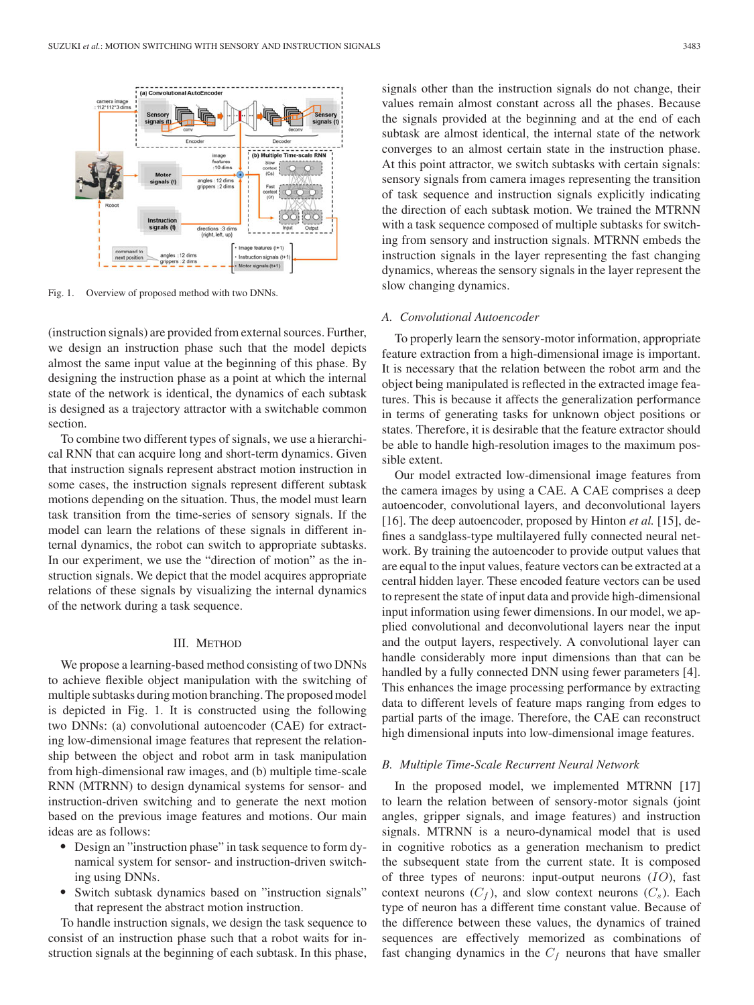

Fig. 1. Overview of proposed method with two DNNs.

(instruction signals) are provided from external sources. Further, we design an instruction phase such that the model depicts almost the same input value at the beginning of this phase. By designing the instruction phase as a point at which the internal state of the network is identical, the dynamics of each subtask is designed as a trajectory attractor with a switchable common section.

To combine two different types of signals, we use a hierarchical RNN that can acquire long and short-term dynamics. Given that instruction signals represent abstract motion instruction in some cases, the instruction signals represent different subtask motions depending on the situation. Thus, the model must learn task transition from the time-series of sensory signals. If the model can learn the relations of these signals in different internal dynamics, the robot can switch to appropriate subtasks. In our experiment, we use the "direction of motion" as the instruction signals. We depict that the model acquires appropriate relations of these signals by visualizing the internal dynamics of the network during a task sequence.

#### III. METHOD

We propose a learning-based method consisting of two DNNs to achieve flexible object manipulation with the switching of multiple subtasks during motion branching. The proposed model is depicted in Fig. 1. It is constructed using the following two DNNs: (a) convolutional autoencoder (CAE) for extracting low-dimensional image features that represent the relationship between the object and robot arm in task manipulation from high-dimensional raw images, and (b) multiple time-scale RNN (MTRNN) to design dynamical systems for sensor- and instruction-driven switching and to generate the next motion based on the previous image features and motions. Our main ideas are as follows:

- Design an "instruction phase" in task sequence to form dynamical system for sensor- and instruction-driven switching using DNNs.
- $\bullet$  Switch subtask dynamics based on "instruction signals" that represent the abstract motion instruction.

To handle instruction signals, we design the task sequence to consist of an instruction phase such that a robot waits for instruction signals at the beginning of each subtask. In this phase, signals other than the instruction signals do not change, their values remain almost constant across all the phases. Because the signals provided at the beginning and at the end of each subtask are almost identical, the internal state of the network converges to an almost certain state in the instruction phase. At this point attractor, we switch subtasks with certain signals: sensory signals from camera images representing the transition of task sequence and instruction signals explicitly indicating the direction of each subtask motion. We trained the MTRNN with a task sequence composed of multiple subtasks for switching from sensory and instruction signals. MTRNN embeds the instruction signals in the layer representing the fast changing dynamics, whereas the sensory signals in the layer represent the slow changing dynamics.

#### *A. Convolutional Autoencoder*

To properly learn the sensory-motor information, appropriate feature extraction from a high-dimensional image is important. It is necessary that the relation between the robot arm and the object being manipulated is reflected in the extracted image features. This is because it affects the generalization performance in terms of generating tasks for unknown object positions or states. Therefore, it is desirable that the feature extractor should be able to handle high-resolution images to the maximum possible extent.

Our model extracted low-dimensional image features from the camera images by using a CAE. A CAE comprises a deep autoencoder, convolutional layers, and deconvolutional layers [16]. The deep autoencoder, proposed by Hinton *et al.* [15], defines a sandglass-type multilayered fully connected neural network. By training the autoencoder to provide output values that are equal to the input values, feature vectors can be extracted at a central hidden layer. These encoded feature vectors can be used to represent the state of input data and provide high-dimensional input information using fewer dimensions. In our model, we applied convolutional and deconvolutional layers near the input and the output layers, respectively. A convolutional layer can handle considerably more input dimensions than that can be handled by a fully connected DNN using fewer parameters [4]. This enhances the image processing performance by extracting data to different levels of feature maps ranging from edges to partial parts of the image. Therefore, the CAE can reconstruct high dimensional inputs into low-dimensional image features.

# *B. Multiple Time-Scale Recurrent Neural Network*

In the proposed model, we implemented MTRNN [17] to learn the relation between of sensory-motor signals (joint angles, gripper signals, and image features) and instruction signals. MTRNN is a neuro-dynamical model that is used in cognitive robotics as a generation mechanism to predict the subsequent state from the current state. It is composed of three types of neurons: input-output neurons  $(IO)$ , fast context neurons  $(C_f)$ , and slow context neurons  $(C_s)$ . Each type of neuron has a different time constant value. Because of the difference between these values, the dynamics of trained sequences are effectively memorized as combinations of fast changing dynamics in the  $C_f$  neurons that have smaller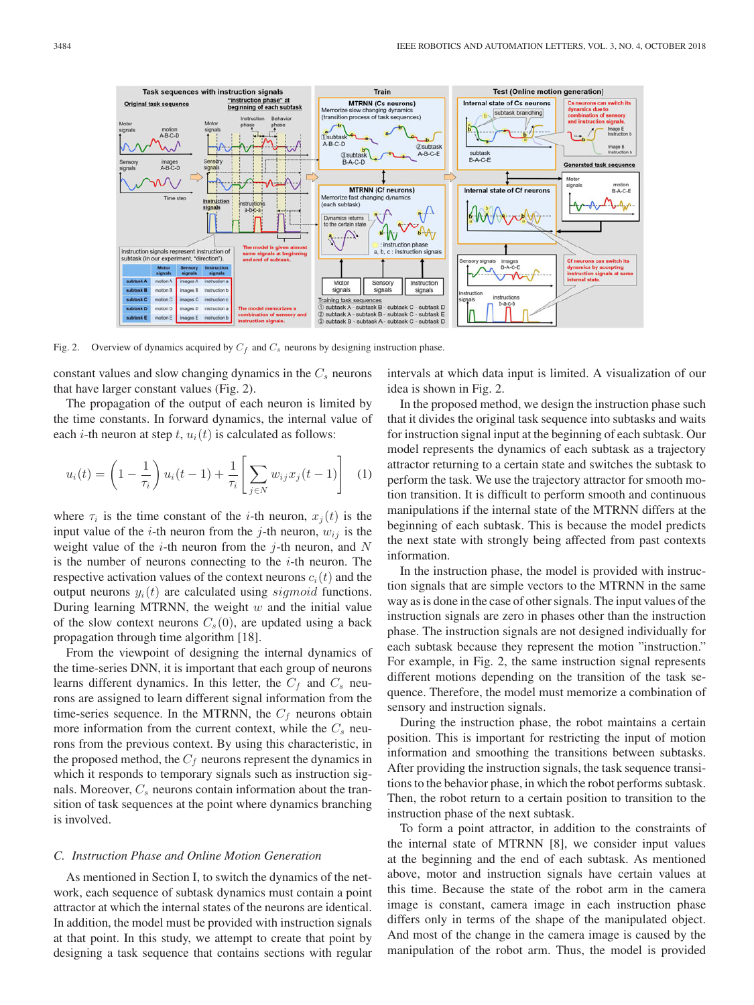

Fig. 2. Overview of dynamics acquired by  $C_f$  and  $C_s$  neurons by designing instruction phase.

constant values and slow changing dynamics in the  $C_s$  neurons that have larger constant values (Fig. 2).

The propagation of the output of each neuron is limited by the time constants. In forward dynamics, the internal value of each *i*-th neuron at step t,  $u_i(t)$  is calculated as follows:

$$
u_i(t) = \left(1 - \frac{1}{\tau_i}\right)u_i(t-1) + \frac{1}{\tau_i}\left[\sum_{j \in N} w_{ij}x_j(t-1)\right]
$$
 (1)

where  $\tau_i$  is the time constant of the *i*-th neuron,  $x_j(t)$  is the input value of the *i*-th neuron from the *j*-th neuron,  $w_{ij}$  is the weight value of the *i*-th neuron from the *j*-th neuron, and  $N$ is the number of neurons connecting to the  $i$ -th neuron. The respective activation values of the context neurons  $c_i(t)$  and the output neurons  $y_i(t)$  are calculated using *sigmoid* functions. During learning MTRNN, the weight  $w$  and the initial value of the slow context neurons  $C_s(0)$ , are updated using a back propagation through time algorithm [18].

From the viewpoint of designing the internal dynamics of the time-series DNN, it is important that each group of neurons learns different dynamics. In this letter, the  $C_f$  and  $C_s$  neurons are assigned to learn different signal information from the time-series sequence. In the MTRNN, the  $C_f$  neurons obtain more information from the current context, while the  $C_s$  neurons from the previous context. By using this characteristic, in the proposed method, the  $C_f$  neurons represent the dynamics in which it responds to temporary signals such as instruction signals. Moreover,  $C_s$  neurons contain information about the transition of task sequences at the point where dynamics branching is involved.

#### *C. Instruction Phase and Online Motion Generation*

As mentioned in Section I, to switch the dynamics of the network, each sequence of subtask dynamics must contain a point attractor at which the internal states of the neurons are identical. In addition, the model must be provided with instruction signals at that point. In this study, we attempt to create that point by designing a task sequence that contains sections with regular

intervals at which data input is limited. A visualization of our idea is shown in Fig. 2.

In the proposed method, we design the instruction phase such that it divides the original task sequence into subtasks and waits for instruction signal input at the beginning of each subtask. Our model represents the dynamics of each subtask as a trajectory attractor returning to a certain state and switches the subtask to perform the task. We use the trajectory attractor for smooth motion transition. It is difficult to perform smooth and continuous manipulations if the internal state of the MTRNN differs at the beginning of each subtask. This is because the model predicts the next state with strongly being affected from past contexts information.

In the instruction phase, the model is provided with instruction signals that are simple vectors to the MTRNN in the same way as is done in the case of other signals. The input values of the instruction signals are zero in phases other than the instruction phase. The instruction signals are not designed individually for each subtask because they represent the motion "instruction." For example, in Fig. 2, the same instruction signal represents different motions depending on the transition of the task sequence. Therefore, the model must memorize a combination of sensory and instruction signals.

During the instruction phase, the robot maintains a certain position. This is important for restricting the input of motion information and smoothing the transitions between subtasks. After providing the instruction signals, the task sequence transitions to the behavior phase, in which the robot performs subtask. Then, the robot return to a certain position to transition to the instruction phase of the next subtask.

To form a point attractor, in addition to the constraints of the internal state of MTRNN [8], we consider input values at the beginning and the end of each subtask. As mentioned above, motor and instruction signals have certain values at this time. Because the state of the robot arm in the camera image is constant, camera image in each instruction phase differs only in terms of the shape of the manipulated object. And most of the change in the camera image is caused by the manipulation of the robot arm. Thus, the model is provided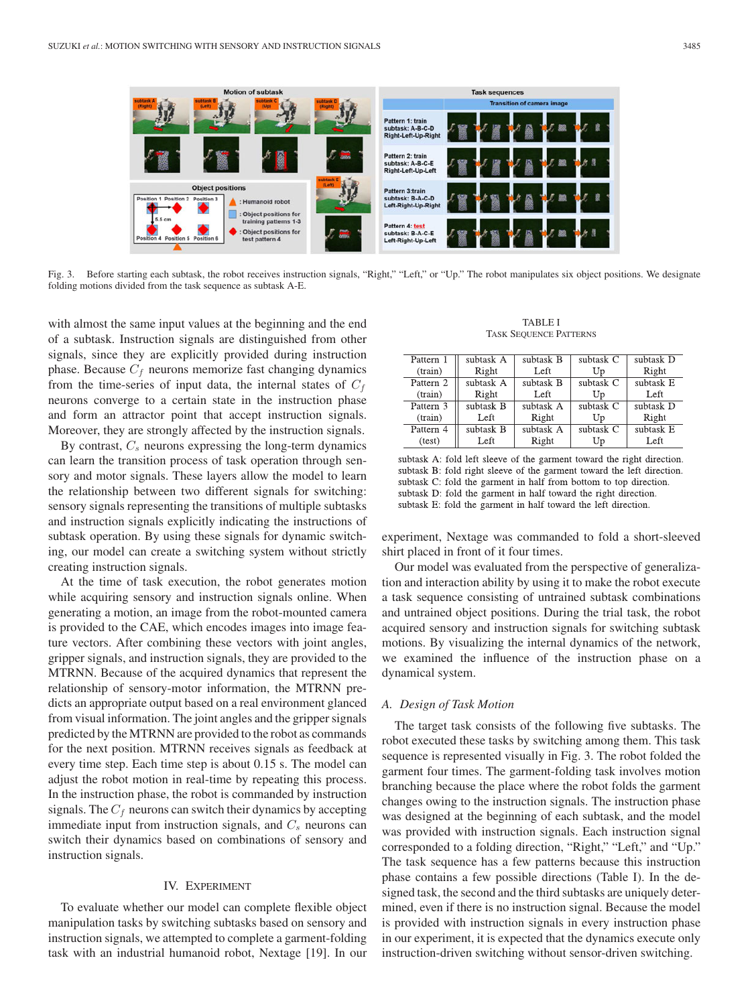

Fig. 3. Before starting each subtask, the robot receives instruction signals, "Right," "Left," or "Up." The robot manipulates six object positions. We designate folding motions divided from the task sequence as subtask A-E.

with almost the same input values at the beginning and the end of a subtask. Instruction signals are distinguished from other signals, since they are explicitly provided during instruction phase. Because  $C_f$  neurons memorize fast changing dynamics from the time-series of input data, the internal states of  $C_f$ neurons converge to a certain state in the instruction phase and form an attractor point that accept instruction signals. Moreover, they are strongly affected by the instruction signals.

By contrast,  $C_s$  neurons expressing the long-term dynamics can learn the transition process of task operation through sensory and motor signals. These layers allow the model to learn the relationship between two different signals for switching: sensory signals representing the transitions of multiple subtasks and instruction signals explicitly indicating the instructions of subtask operation. By using these signals for dynamic switching, our model can create a switching system without strictly creating instruction signals.

At the time of task execution, the robot generates motion while acquiring sensory and instruction signals online. When generating a motion, an image from the robot-mounted camera is provided to the CAE, which encodes images into image feature vectors. After combining these vectors with joint angles, gripper signals, and instruction signals, they are provided to the MTRNN. Because of the acquired dynamics that represent the relationship of sensory-motor information, the MTRNN predicts an appropriate output based on a real environment glanced from visual information. The joint angles and the gripper signals predicted by the MTRNN are provided to the robot as commands for the next position. MTRNN receives signals as feedback at every time step. Each time step is about 0.15 s. The model can adjust the robot motion in real-time by repeating this process. In the instruction phase, the robot is commanded by instruction signals. The  $C_f$  neurons can switch their dynamics by accepting immediate input from instruction signals, and  $C_s$  neurons can switch their dynamics based on combinations of sensory and instruction signals.

# IV. EXPERIMENT

To evaluate whether our model can complete flexible object manipulation tasks by switching subtasks based on sensory and instruction signals, we attempted to complete a garment-folding task with an industrial humanoid robot, Nextage [19]. In our

TABLE I TASK SEQUENCE PATTERNS

| Pattern 1 | subtask A | subtask B | subtask C   | subtask D |
|-----------|-----------|-----------|-------------|-----------|
| (train)   | Right     | Left      | Up          | Right     |
| Pattern 2 | subtask A | subtask B | subtask C   | subtask E |
| (train)   | Right     | Left      | Up          | Left      |
| Pattern 3 | subtask B | subtask A | subtask $C$ | subtask D |
| (train)   | Left.     | Right     | Up          | Right     |
| Pattern 4 | subtask B | subtask A | subtask C   | subtask E |
| (test)    | Left      | Right     | Up          | Left      |

subtask A: fold left sleeve of the garment toward the right direction. subtask B: fold right sleeve of the garment toward the left direction. subtask C: fold the garment in half from bottom to top direction. subtask D: fold the garment in half toward the right direction. subtask E: fold the garment in half toward the left direction.

experiment, Nextage was commanded to fold a short-sleeved shirt placed in front of it four times.

Our model was evaluated from the perspective of generalization and interaction ability by using it to make the robot execute a task sequence consisting of untrained subtask combinations and untrained object positions. During the trial task, the robot acquired sensory and instruction signals for switching subtask motions. By visualizing the internal dynamics of the network, we examined the influence of the instruction phase on a dynamical system.

#### *A. Design of Task Motion*

The target task consists of the following five subtasks. The robot executed these tasks by switching among them. This task sequence is represented visually in Fig. 3. The robot folded the garment four times. The garment-folding task involves motion branching because the place where the robot folds the garment changes owing to the instruction signals. The instruction phase was designed at the beginning of each subtask, and the model was provided with instruction signals. Each instruction signal corresponded to a folding direction, "Right," "Left," and "Up." The task sequence has a few patterns because this instruction phase contains a few possible directions (Table I). In the designed task, the second and the third subtasks are uniquely determined, even if there is no instruction signal. Because the model is provided with instruction signals in every instruction phase in our experiment, it is expected that the dynamics execute only instruction-driven switching without sensor-driven switching.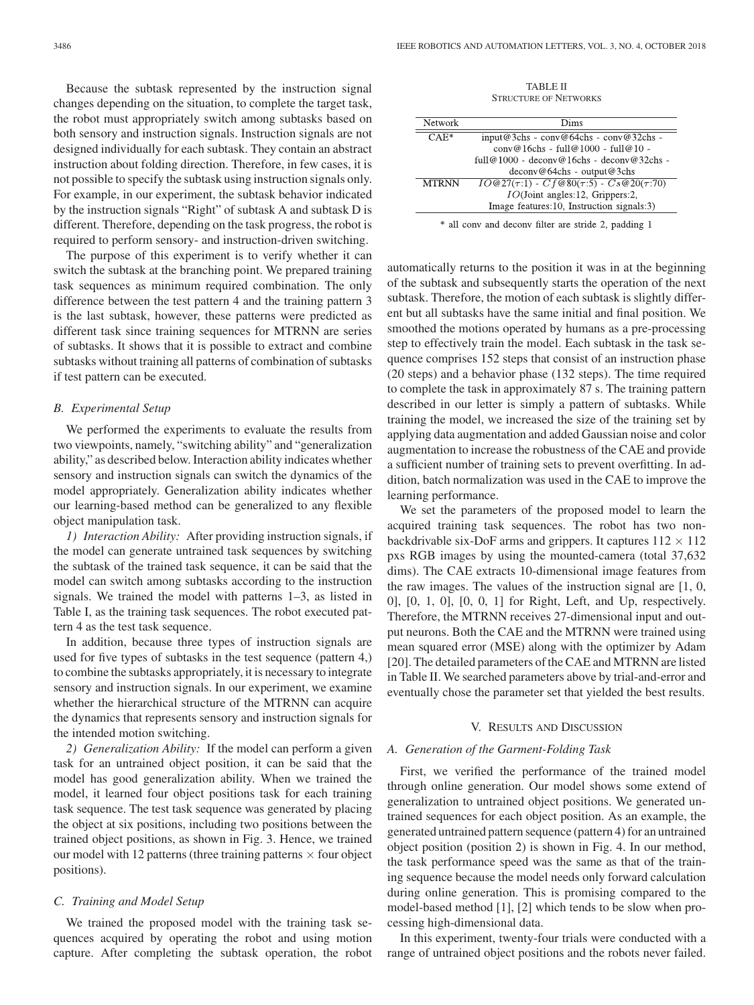Because the subtask represented by the instruction signal changes depending on the situation, to complete the target task, the robot must appropriately switch among subtasks based on both sensory and instruction signals. Instruction signals are not designed individually for each subtask. They contain an abstract instruction about folding direction. Therefore, in few cases, it is not possible to specify the subtask using instruction signals only. For example, in our experiment, the subtask behavior indicated by the instruction signals "Right" of subtask A and subtask D is different. Therefore, depending on the task progress, the robot is required to perform sensory- and instruction-driven switching.

The purpose of this experiment is to verify whether it can switch the subtask at the branching point. We prepared training task sequences as minimum required combination. The only difference between the test pattern 4 and the training pattern 3 is the last subtask, however, these patterns were predicted as different task since training sequences for MTRNN are series of subtasks. It shows that it is possible to extract and combine subtasks without training all patterns of combination of subtasks if test pattern can be executed.

#### *B. Experimental Setup*

We performed the experiments to evaluate the results from two viewpoints, namely, "switching ability" and "generalization ability," as described below. Interaction ability indicates whether sensory and instruction signals can switch the dynamics of the model appropriately. Generalization ability indicates whether our learning-based method can be generalized to any flexible object manipulation task.

*1) Interaction Ability:* After providing instruction signals, if the model can generate untrained task sequences by switching the subtask of the trained task sequence, it can be said that the model can switch among subtasks according to the instruction signals. We trained the model with patterns 1–3, as listed in Table I, as the training task sequences. The robot executed pattern 4 as the test task sequence.

In addition, because three types of instruction signals are used for five types of subtasks in the test sequence (pattern 4,) to combine the subtasks appropriately, it is necessary to integrate sensory and instruction signals. In our experiment, we examine whether the hierarchical structure of the MTRNN can acquire the dynamics that represents sensory and instruction signals for the intended motion switching.

*2) Generalization Ability:* If the model can perform a given task for an untrained object position, it can be said that the model has good generalization ability. When we trained the model, it learned four object positions task for each training task sequence. The test task sequence was generated by placing the object at six positions, including two positions between the trained object positions, as shown in Fig. 3. Hence, we trained our model with 12 patterns (three training patterns  $\times$  four object positions).

# *C. Training and Model Setup*

We trained the proposed model with the training task sequences acquired by operating the robot and using motion capture. After completing the subtask operation, the robot

TABLE II STRUCTURE OF NETWORKS

| Network      | Dims                                                                             |  |  |
|--------------|----------------------------------------------------------------------------------|--|--|
| $CAF*$       | input@3chs - conv@64chs - conv@32chs -                                           |  |  |
|              | $\cos(\omega 16 \text{ch} s - \text{full} \omega 1000 - \text{full} \omega 10 -$ |  |  |
|              | full@1000 - deconv@16chs - deconv@32chs -                                        |  |  |
|              | deconv@64chs - output@3chs                                                       |  |  |
| <b>MTRNN</b> | $IO@27(\tau:1) - Cf@80(\tau:5) - Cs@20(\tau:70)$                                 |  |  |
|              | <i>IO</i> (Joint angles: 12, Grippers: 2,                                        |  |  |
|              | Image features:10, Instruction signals:3)                                        |  |  |
|              |                                                                                  |  |  |

\* all conv and deconv filter are stride 2, padding 1

automatically returns to the position it was in at the beginning of the subtask and subsequently starts the operation of the next subtask. Therefore, the motion of each subtask is slightly different but all subtasks have the same initial and final position. We smoothed the motions operated by humans as a pre-processing step to effectively train the model. Each subtask in the task sequence comprises 152 steps that consist of an instruction phase (20 steps) and a behavior phase (132 steps). The time required to complete the task in approximately 87 s. The training pattern described in our letter is simply a pattern of subtasks. While training the model, we increased the size of the training set by applying data augmentation and added Gaussian noise and color augmentation to increase the robustness of the CAE and provide a sufficient number of training sets to prevent overfitting. In addition, batch normalization was used in the CAE to improve the learning performance.

We set the parameters of the proposed model to learn the acquired training task sequences. The robot has two nonbackdrivable six-DoF arms and grippers. It captures  $112 \times 112$ pxs RGB images by using the mounted-camera (total 37,632 dims). The CAE extracts 10-dimensional image features from the raw images. The values of the instruction signal are [1, 0, 0], [0, 1, 0], [0, 0, 1] for Right, Left, and Up, respectively. Therefore, the MTRNN receives 27-dimensional input and output neurons. Both the CAE and the MTRNN were trained using mean squared error (MSE) along with the optimizer by Adam [20]. The detailed parameters of the CAE and MTRNN are listed in Table II. We searched parameters above by trial-and-error and eventually chose the parameter set that yielded the best results.

#### V. RESULTS AND DISCUSSION

#### *A. Generation of the Garment-Folding Task*

First, we verified the performance of the trained model through online generation. Our model shows some extend of generalization to untrained object positions. We generated untrained sequences for each object position. As an example, the generated untrained pattern sequence (pattern 4) for an untrained object position (position 2) is shown in Fig. 4. In our method, the task performance speed was the same as that of the training sequence because the model needs only forward calculation during online generation. This is promising compared to the model-based method [1], [2] which tends to be slow when processing high-dimensional data.

In this experiment, twenty-four trials were conducted with a range of untrained object positions and the robots never failed.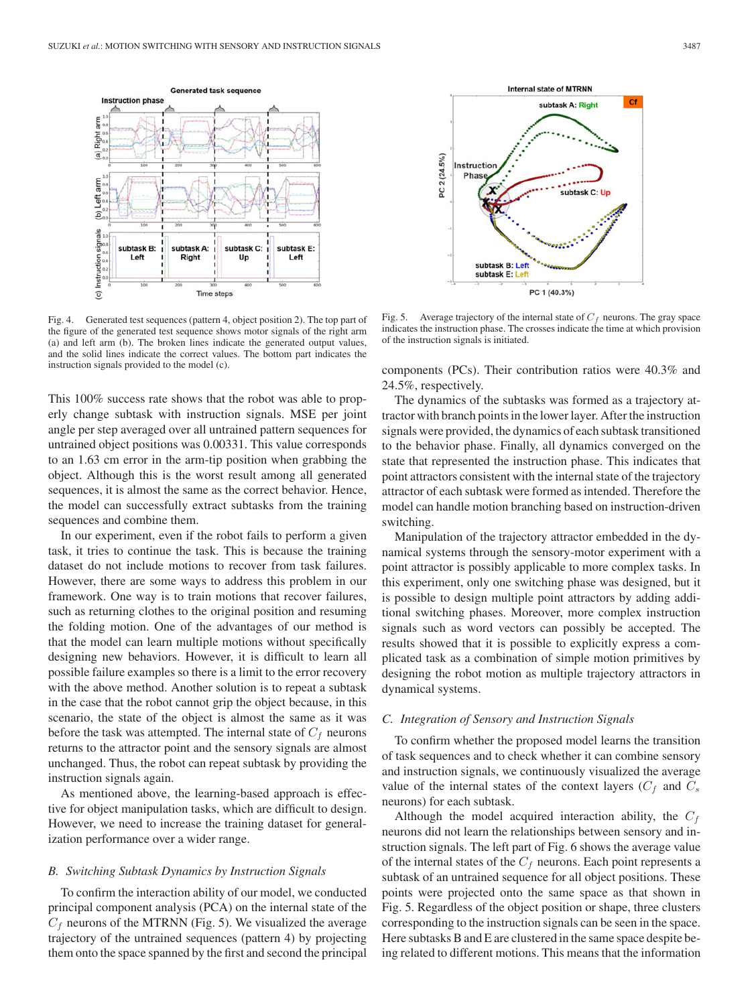

Fig. 4. Generated test sequences (pattern 4, object position 2). The top part of the figure of the generated test sequence shows motor signals of the right arm (a) and left arm (b). The broken lines indicate the generated output values, and the solid lines indicate the correct values. The bottom part indicates the instruction signals provided to the model (c).

This 100% success rate shows that the robot was able to properly change subtask with instruction signals. MSE per joint angle per step averaged over all untrained pattern sequences for untrained object positions was 0.00331. This value corresponds to an 1.63 cm error in the arm-tip position when grabbing the object. Although this is the worst result among all generated sequences, it is almost the same as the correct behavior. Hence, the model can successfully extract subtasks from the training sequences and combine them.

In our experiment, even if the robot fails to perform a given task, it tries to continue the task. This is because the training dataset do not include motions to recover from task failures. However, there are some ways to address this problem in our framework. One way is to train motions that recover failures, such as returning clothes to the original position and resuming the folding motion. One of the advantages of our method is that the model can learn multiple motions without specifically designing new behaviors. However, it is difficult to learn all possible failure examples so there is a limit to the error recovery with the above method. Another solution is to repeat a subtask in the case that the robot cannot grip the object because, in this scenario, the state of the object is almost the same as it was before the task was attempted. The internal state of  $C_f$  neurons returns to the attractor point and the sensory signals are almost unchanged. Thus, the robot can repeat subtask by providing the instruction signals again.

As mentioned above, the learning-based approach is effective for object manipulation tasks, which are difficult to design. However, we need to increase the training dataset for generalization performance over a wider range.

# *B. Switching Subtask Dynamics by Instruction Signals*

To confirm the interaction ability of our model, we conducted principal component analysis (PCA) on the internal state of the  $C_f$  neurons of the MTRNN (Fig. 5). We visualized the average trajectory of the untrained sequences (pattern 4) by projecting them onto the space spanned by the first and second the principal



Fig. 5. Average trajectory of the internal state of  $C_f$  neurons. The gray space indicates the instruction phase. The crosses indicate the time at which provision of the instruction signals is initiated.

components (PCs). Their contribution ratios were 40.3% and 24.5%, respectively.

The dynamics of the subtasks was formed as a trajectory attractor with branch points in the lower layer. After the instruction signals were provided, the dynamics of each subtask transitioned to the behavior phase. Finally, all dynamics converged on the state that represented the instruction phase. This indicates that point attractors consistent with the internal state of the trajectory attractor of each subtask were formed as intended. Therefore the model can handle motion branching based on instruction-driven switching.

Manipulation of the trajectory attractor embedded in the dynamical systems through the sensory-motor experiment with a point attractor is possibly applicable to more complex tasks. In this experiment, only one switching phase was designed, but it is possible to design multiple point attractors by adding additional switching phases. Moreover, more complex instruction signals such as word vectors can possibly be accepted. The results showed that it is possible to explicitly express a complicated task as a combination of simple motion primitives by designing the robot motion as multiple trajectory attractors in dynamical systems.

#### *C. Integration of Sensory and Instruction Signals*

To confirm whether the proposed model learns the transition of task sequences and to check whether it can combine sensory and instruction signals, we continuously visualized the average value of the internal states of the context layers  $(C_f$  and  $C_s$ neurons) for each subtask.

Although the model acquired interaction ability, the  $C_f$ neurons did not learn the relationships between sensory and instruction signals. The left part of Fig. 6 shows the average value of the internal states of the  $C_f$  neurons. Each point represents a subtask of an untrained sequence for all object positions. These points were projected onto the same space as that shown in Fig. 5. Regardless of the object position or shape, three clusters corresponding to the instruction signals can be seen in the space. Here subtasks B and E are clustered in the same space despite being related to different motions. This means that the information